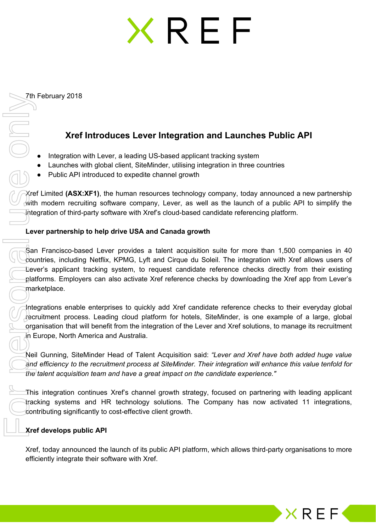## **KREF**

7th February 2018

## **Xref Introduces Lever Integration and Launches Public API**

- Integration with Lever, a leading US-based applicant tracking system
- Launches with global client, SiteMinder, utilising integration in three countries
- Public API introduced to expedite channel growth

Xref Limited **(ASX:XF1)**, the human resources technology company, today announced a new partnership with modern recruiting software company, Lever, as well as the launch of a public API to simplify the integration of third-party software with Xref's cloud-based candidate referencing platform.

## **Lever partnership to help drive USA and Canada growth**

San Francisco-based Lever provides a talent acquisition suite for more than 1,500 companies in 40 countries, including Netflix, KPMG, Lyft and Cirque du Soleil. The integration with Xref allows users of Lever's applicant tracking system, to request candidate reference checks directly from their existing platforms. Employers can also activate Xref reference checks by downloading the Xref app from Lever's marketplace.

Integrations enable enterprises to quickly add Xref candidate reference checks to their everyday global recruitment process. Leading cloud platform for hotels, SiteMinder, is one example of a large, global organisation that will benefit from the integration of the Lever and Xref solutions, to manage its recruitment in Europe, North America and Australia.

Neil Gunning, SiteMinder Head of Talent Acquisition said: *"Lever and Xref have both added huge value and efficiency to the recruitment process at SiteMinder. Their integration will enhance this value tenfold for the talent acquisition team and have a great impact on the candidate experience."*

This integration continues Xref's channel growth strategy, focused on partnering with leading applicant tracking systems and HR technology solutions. The Company has now activated 11 integrations, contributing significantly to cost-effective client growth.

## **Xref develops public API**

Xref, today announced the launch of its public API platform, which allows third-party organisations to more